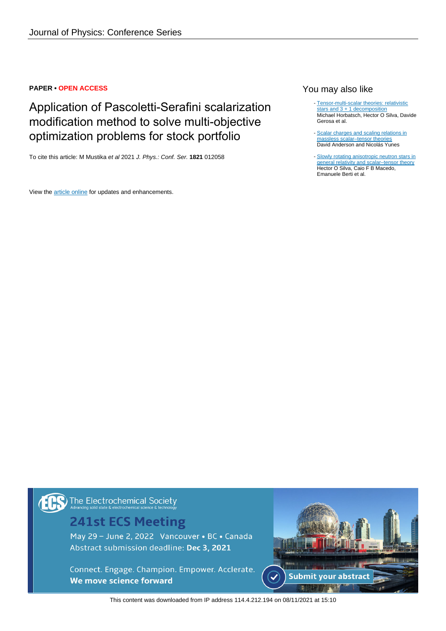### **PAPER • OPEN ACCESS**

# Application of Pascoletti-Serafini scalarization modification method to solve multi-objective optimization problems for stock portfolio

To cite this article: M Mustika et al 2021 J. Phys.: Conf. Ser. **1821** 012058

View the [article online](https://doi.org/10.1088/1742-6596/1821/1/012058) for updates and enhancements.

## You may also like

- [Tensor-multi-scalar theories: relativistic](/article/10.1088/0264-9381/32/20/204001) [stars and 3 + 1 decomposition](/article/10.1088/0264-9381/32/20/204001) Michael Horbatsch, Hector O Silva, Davide Gerosa et al.
- [Scalar charges and scaling relations in](/article/10.1088/1361-6382/ab2eda) [massless scalar–tensor theories](/article/10.1088/1361-6382/ab2eda) David Anderson and Nicolás Yunes
- [Slowly rotating anisotropic neutron stars in](/article/10.1088/0264-9381/32/14/145008) [general relativity and scalar–tensor theory](/article/10.1088/0264-9381/32/14/145008) Hector O Silva, Caio F B Macedo, Emanuele Berti et al. -

The Electrochemical Society

# **241st ECS Meeting**

May 29 - June 2, 2022 Vancouver • BC • Canada Abstract submission deadline: Dec 3, 2021

Connect. Engage. Champion. Empower. Acclerate. We move science forward



This content was downloaded from IP address 114.4.212.194 on 08/11/2021 at 15:10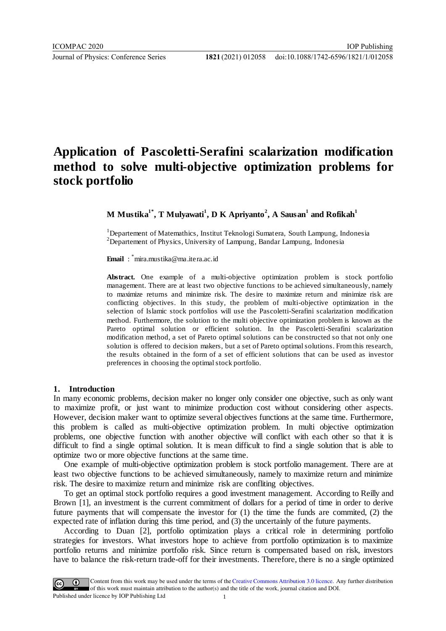# **Application of Pascoletti-Serafini scalarization modification method to solve multi-objective optimization problems for stock portfolio**

**M Mustika1\* , T Mulyawati<sup>1</sup> , D K Apriyanto<sup>2</sup> , A Sausan<sup>1</sup> and Rofikah<sup>1</sup>**

<sup>1</sup>Departement of Matemathics, Institut Teknologi Sumatera, South Lampung, Indonesia  $2$ Departement of Physics, University of Lampung, Bandar Lampung, Indonesia

**Email** : \*mira.mustika@ma.itera.ac.id

**Abstract.** One example of a multi-objective optimization problem is stock portfolio management. There are at least two objective functions to be achieved simultaneously, namely to maximize returns and minimize risk. The desire to maximize return and minimize risk are conflicting objectives. In this study, the problem of multi-objective optimization in the selection of Islamic stock portfolios will use the Pascoletti-Serafini scalarization modification method. Furthermore, the solution to the multi objective optimization problem is known as the Pareto optimal solution or efficient solution. In the Pascoletti-Serafini scalarization modification method, a set of Pareto optimal solutions can be constructed so that not only one solution is offered to decision makers, but a set of Pareto optimal solutions. From this research, the results obtained in the form of a set of efficient solutions that can be used as investor preferences in choosing the optimal stock portfolio.

#### **1. Introduction**

In many economic problems, decision maker no longer only consider one objective, such as only want to maximize profit, or just want to minimize production cost without considering other aspects. However, decision maker want to optimize several objectives functions at the same time. Furthermore, this problem is called as multi-objective optimization problem. In multi objective optimization problems, one objective function with another objective will conflict with each other so that it is difficult to find a single optimal solution. It is mean difficult to find a single solution that is able to optimize two or more objective functions at the same time.

One example of multi-objective optimization problem is stock portfolio management. There are at least two objective functions to be achieved simultaneously, namely to maximize return and minimize risk. The desire to maximize return and minimize risk are confliting objectives.

To get an optimal stock portfolio requires a good investment management. According to Reilly and Brown [1], an investment is the current commitment of dollars for a period of time in order to derive future payments that will compensate the investor for (1) the time the funds are commited, (2) the expected rate of inflation during this time period, and (3) the uncertainly of the future payments.

According to Duan [2], portfolio optimization plays a critical role in determining portfolio strategies for investors. What investors hope to achieve from portfolio optimization is to maximize portfolio returns and minimize portfolio risk. Since return is compensated based on risk, investors have to balance the risk-return trade-off for their investments. Therefore, there is no a single optimized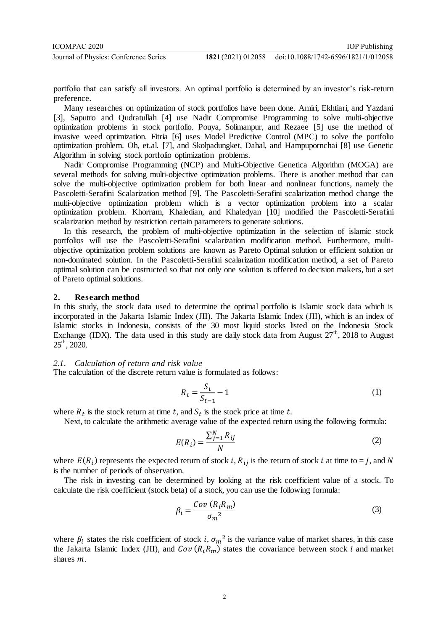portfolio that can satisfy all investors. An optimal portfolio is determined by an investor's risk-return preference.

Many researches on optimization of stock portfolios have been done. Amiri, Ekhtiari, and Yazdani [3], Saputro and Qudratullah [4] use Nadir Compromise Programming to solve multi-objective optimization problems in stock portfolio. Pouya, Solimanpur, and Rezaee [5] use the method of invasive weed optimization. Fitria [6] uses Model Predictive Control (MPC) to solve the portfolio optimization problem. Oh, et.al. [7], and Skolpadungket, Dahal, and Hampupornchai [8] use Genetic Algorithm in solving stock portfolio optimization problems.

Nadir Compromise Programming (NCP) and Multi-Objective Genetica Algorithm (MOGA) are several methods for solving multi-objective optimization problems. There is another method that can solve the multi-objective optimization problem for both linear and nonlinear functions, namely the Pascoletti-Serafini Scalarization method [9]. The Pascoletti-Serafini scalarization method change the multi-objective optimization problem which is a vector optimization problem into a scalar optimization problem. Khorram, Khaledian, and Khaledyan [10] modified the Pascoletti-Serafini scalarization method by restriction certain parameters to generate solutions.

In this research, the problem of multi-objective optimization in the selection of islamic stock portfolios will use the Pascoletti-Serafini scalarization modification method. Furthermore, multiobjective optimization problem solutions are known as Pareto Optimal solution or efficient solution or non-dominated solution. In the Pascoletti-Serafini scalarization modification method, a set of Pareto optimal solution can be costructed so that not only one solution is offered to decision makers, but a set of Pareto optimal solutions.

### **2. Research method**

In this study, the stock data used to determine the optimal portfolio is Islamic stock data which is incorporated in the Jakarta Islamic Index (JII). The Jakarta Islamic Index (JII), which is an index of Islamic stocks in Indonesia, consists of the 30 most liquid stocks listed on the Indonesia Stock Exchange (IDX). The data used in this study are daily stock data from August  $27<sup>th</sup>$ , 2018 to August  $25^{\text{th}}$ , 2020.

### *2.1. Calculation of return and risk value*

The calculation of the discrete return value is formulated as follows:

$$
R_t = \frac{S_t}{S_{t-1}} - 1\tag{1}
$$

where  $R_t$  is the stock return at time t, and  $S_t$  is the stock price at time t.

Next, to calculate the arithmetic average value of the expected return using the following formula:

$$
E(R_i) = \frac{\sum_{j=1}^{N} R_{ij}}{N}
$$
 (2)

where  $E(R_i)$  represents the expected return of stock i,  $R_{ij}$  is the return of stock i at time to = j, and is the number of periods of observation.

The risk in investing can be determined by looking at the risk coefficient value of a stock. To calculate the risk coefficient (stock beta) of a stock, you can use the following formula:

$$
\beta_i = \frac{Cov\left(R_i R_m\right)}{\sigma_m^2} \tag{3}
$$

where  $\beta_i$  states the risk coefficient of stock i,  $\sigma_m^2$  is the variance value of market shares, in this case the Jakarta Islamic Index (JII), and  $Cov(R_iR_m)$  states the covariance between stock i and market shares m.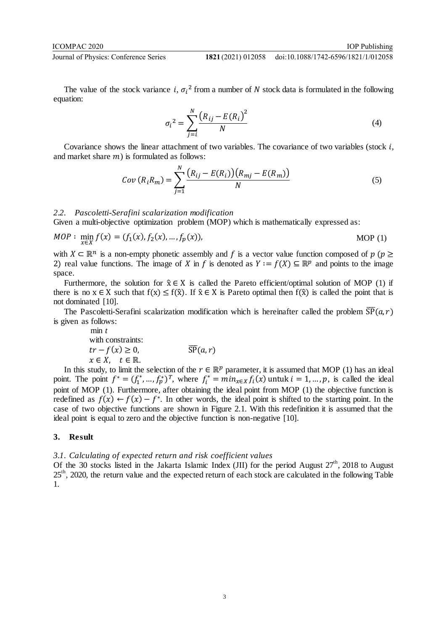The value of the stock variance *i*,  $\sigma_i^2$  from a number of N stock data is formulated in the following equation:

$$
\sigma_i^2 = \sum_{j=i}^N \frac{(R_{ij} - E(R_i)^2}{N} \tag{4}
$$

Covariance shows the linear attachment of two variables. The covariance of two variables (stock  $i$ , and market share  $m$ ) is formulated as follows:

$$
Cov(R_i R_m) = \sum_{j=1}^{N} \frac{(R_{ij} - E(R_i))(R_{mj} - E(R_m))}{N}
$$
(5)

### *2.2. Pascoletti-Serafini scalarization modification*

Given a multi-objective optimization problem (MOP) which is mathematically expressed as:

$$
MOP: \min_{x \in X} f(x) = (f_1(x), f_2(x), \dots, f_p(x)),
$$
 MOP (1)

with  $X \subseteq \mathbb{R}^n$  is a non-empty phonetic assembly and f is a vector value function composed of  $p$  ( $p \ge$ 2) real value functions. The image of X in f is denoted as  $Y := f(X) \subseteq \mathbb{R}^p$  and points to the image space.

Furthermore, the solution for  $\hat{x} \in X$  is called the Pareto efficient/optimal solution of MOP (1) if there is no  $x \in X$  such that  $f(x) \le f(\hat{x})$ . If  $\hat{x} \in X$  is Pareto optimal then  $f(\hat{x})$  is called the point that is not dominated [10].

The Pascoletti-Serafini scalarization modification which is hereinafter called the problem  $\overline{SP}(a,r)$ is given as follows:

$$
\begin{array}{ll}\n\min t & \\
\text{with constraints:} \\
\text{tr} - f(x) \ge 0, & \overline{\text{SP}}(a, r) \\
\text{x} \in X, \quad t \in \mathbb{R}.\n\end{array}
$$

In this study, to limit the selection of the  $r \in \mathbb{R}^p$  parameter, it is assumed that MOP (1) has an ideal point. The point  $f^* = (f_1^*, \dots, f_p^*)^T$ , where  $f_i^* = \min_{x \in X} f_i(x)$  untuk  $i = 1, \dots, p$ , is called the ideal point of MOP (1). Furthermore, after obtaining the ideal point from MOP (1) the objective function is redefined as  $f(x) \leftarrow f(x) - f^*$ . In other words, the ideal point is shifted to the starting point. In the case of two objective functions are shown in Figure 2.1. With this redefinition it is assumed that the ideal point is equal to zero and the objective function is non-negative [10].

#### **3. Result**

#### *3.1. Calculating of expected return and risk coefficient values*

Of the 30 stocks listed in the Jakarta Islamic Index (JII) for the period August  $27<sup>th</sup>$ , 2018 to August 25<sup>th</sup>, 2020, the return value and the expected return of each stock are calculated in the following Table 1.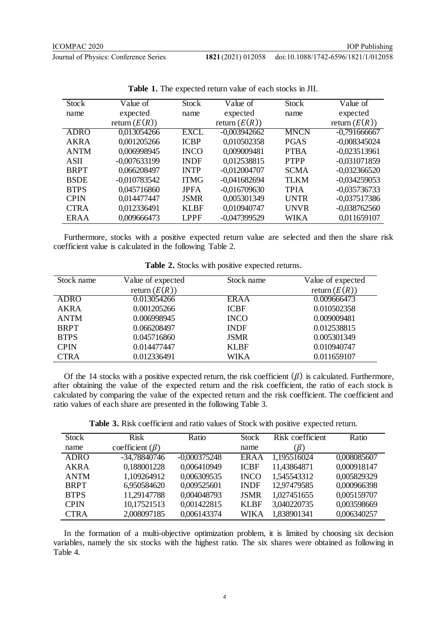doi:10.1088/1742-6596/1821/1/012058

| <b>Stock</b> | Value of        | <b>Stock</b> | Value of        | <b>Stock</b> | Value of        |
|--------------|-----------------|--------------|-----------------|--------------|-----------------|
| name         | expected        | name         | expected        | name         | expected        |
|              | return $(E(R))$ |              | return $(E(R))$ |              | return $(E(R))$ |
| <b>ADRO</b>  | 0,013054266     | EXCL         | $-0,003942662$  | <b>MNCN</b>  | $-0,791666667$  |
| AKRA         | 0,001205266     | <b>ICBP</b>  | 0,010502358     | <b>PGAS</b>  | $-0,008345024$  |
| <b>ANTM</b>  | 0,006998945     | <b>INCO</b>  | 0,009009481     | <b>PTBA</b>  | $-0,023513961$  |
| <b>ASII</b>  | $-0,007633199$  | <b>INDF</b>  | 0,012538815     | <b>PTPP</b>  | $-0,031071859$  |
| <b>BRPT</b>  | 0,066208497     | <b>INTP</b>  | $-0.012004707$  | <b>SCMA</b>  | $-0,032366520$  |
| <b>BSDE</b>  | $-0,010783542$  | <b>ITMG</b>  | $-0.041682694$  | <b>TLKM</b>  | $-0,034259053$  |
| <b>BTPS</b>  | 0,045716860     | <b>JPFA</b>  | $-0,016709630$  | <b>TPIA</b>  | $-0,035736733$  |
| <b>CPIN</b>  | 0,014477447     | <b>JSMR</b>  | 0,005301349     | <b>UNTR</b>  | $-0,037517386$  |
| <b>CTRA</b>  | 0,012336491     | <b>KLBF</b>  | 0,010940747     | <b>UNVR</b>  | $-0,038762560$  |
| <b>ERAA</b>  | 0,009666473     | <b>LPPF</b>  | $-0,047399529$  | WIKA         | 0,011659107     |

**Table 1.** The expected return value of each stocks in JII.

Furthermore, stocks with a positive expected return value are selected and then the share risk coefficient value is calculated in the following Table 2.

| Stock name  | Value of expected | Stock name  | Value of expected |
|-------------|-------------------|-------------|-------------------|
|             | return $(E(R))$   |             | return $(E(R))$   |
| <b>ADRO</b> | 0.013054266       | ERAA        | 0.009666473       |
| AKRA        | 0.001205266       | <b>ICBF</b> | 0.010502358       |
| <b>ANTM</b> | 0.006998945       | <b>INCO</b> | 0.009009481       |
| <b>BRPT</b> | 0.066208497       | <b>INDF</b> | 0.012538815       |
| <b>BTPS</b> | 0.045716860       | <b>JSMR</b> | 0.005301349       |
| <b>CPIN</b> | 0.014477447       | <b>KLBF</b> | 0.010940747       |
| <b>CTRA</b> | 0.012336491       | WIKA        | 0.011659107       |

**Table 2.** Stocks with positive expected returns.

Of the 14 stocks with a positive expected return, the risk coefficient  $(\beta)$  is calculated. Furthermore, after obtaining the value of the expected return and the risk coefficient, the ratio of each stock is calculated by comparing the value of the expected return and the risk coefficient. The coefficient and ratio values of each share are presented in the following Table 3.

**Table 3.** Risk coefficient and ratio values of Stock with positive expected return.

| Stock       | <b>Risk</b>           | Ratio          | <b>Stock</b> | Risk coefficient | Ratio       |
|-------------|-----------------------|----------------|--------------|------------------|-------------|
| name        | coefficient $(\beta)$ |                | name         | $(\beta)$        |             |
| <b>ADRO</b> | -34,78840746          | $-0.000375248$ | ERAA         | 1,195516024      | 0,008085607 |
| AKRA        | 0,188001228           | 0,006410949    | <b>ICBF</b>  | 11,43864871      | 0,000918147 |
| <b>ANTM</b> | 1,109264912           | 0,006309535    | <b>INCO</b>  | 1,545543312      | 0,005829329 |
| <b>BRPT</b> | 6,950584620           | 0,009525601    | <b>INDF</b>  | 12,97479585      | 0,000966398 |
| <b>BTPS</b> | 11,29147788           | 0,004048793    | <b>JSMR</b>  | 1,027451655      | 0,005159707 |
| <b>CPIN</b> | 10,17521513           | 0,001422815    | <b>KLBF</b>  | 3,040220735      | 0,003598669 |
| <b>CTRA</b> | 2,008097185           | 0,006143374    | <b>WIKA</b>  | 1,838901341      | 0,006340257 |

In the formation of a multi-objective optimization problem, it is limited by choosing six decision variables, namely the six stocks with the highest ratio. The six shares were obtained as following in Table 4.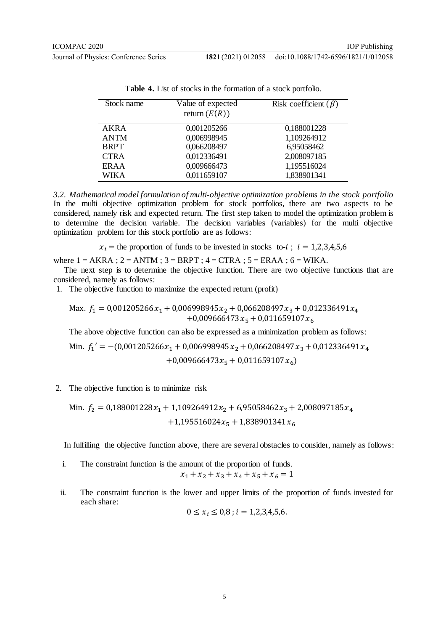**Journal of Physics: Conference Series 18** 

| 821 (2021) 012058 | doi:10.1088/1742-6596/1821/1/012058 |
|-------------------|-------------------------------------|
|                   |                                     |

| Stock name  | Value of expected<br>return $(E(R))$ | Risk coefficient $(\beta)$ |
|-------------|--------------------------------------|----------------------------|
| <b>AKRA</b> | 0,001205266                          | 0,188001228                |
| <b>ANTM</b> | 0,006998945                          | 1,109264912                |
| <b>BRPT</b> | 0,066208497                          | 6,95058462                 |
| <b>CTRA</b> | 0,012336491                          | 2,008097185                |
| ERAA        | 0,009666473                          | 1,195516024                |
| <b>WIKA</b> | 0,011659107                          | 1,838901341                |
|             |                                      |                            |

**Table 4.** List of stocks in the formation of a stock portfolio.

*3.2. Mathematical model formulation of multi-objective optimization problems in the stock portfolio* In the multi objective optimization problem for stock portfolios, there are two aspects to be considered, namely risk and expected return. The first step taken to model the optimization problem is to determine the decision variable. The decision variables (variables) for the multi objective optimization problem for this stock portfolio are as follows:

 $x_i$  = the proportion of funds to be invested in stocks to-*i*;  $i = 1,2,3,4,5,6$ 

where  $1 = AKRA$ ;  $2 = ANTM$ ;  $3 = BRPT$ ;  $4 = CTRA$ ;  $5 = ERAA$ ;  $6 = WIKA$ .

The next step is to determine the objective function. There are two objective functions that are considered, namely as follows:

1. The objective function to maximize the expected return (profit)

$$
\begin{aligned} \text{Max. } f_1 &= 0,001205266 \, x_1 + 0,006998945 \, x_2 + 0,066208497 \, x_3 + 0,012336491 \, x_4 \\ &+ 0,009666473 \, x_5 + 0,011659107 \, x_6 \end{aligned}
$$

The above objective function can also be expressed as a minimization problem as follows:

Min.  $f_1' = -(0.001205266x_1 + 0.006998945x_2 + 0.066208497x_3 + 0.012336491x_4$ 

+0,009666473 $x_5$  + 0,011659107 $x_6$ )

2. The objective function is to minimize risk

Min. 
$$
f_2 = 0,188001228x_1 + 1,109264912x_2 + 6,95058462x_3 + 2,008097185x_4 + 1,195516024x_5 + 1,838901341x_6
$$

In fulfilling the objective function above, there are several obstacles to consider, namely as follows:

i. The constraint function is the amount of the proportion of funds.  $x_1 + x_2 + x_3 + x_4 + x_5 + x_6 = 1$ 

ii. The constraint function is the lower and upper limits of the proportion of funds invested for each share:

$$
0 \le x_i \le 0.8
$$
;  $i = 1,2,3,4,5,6$ .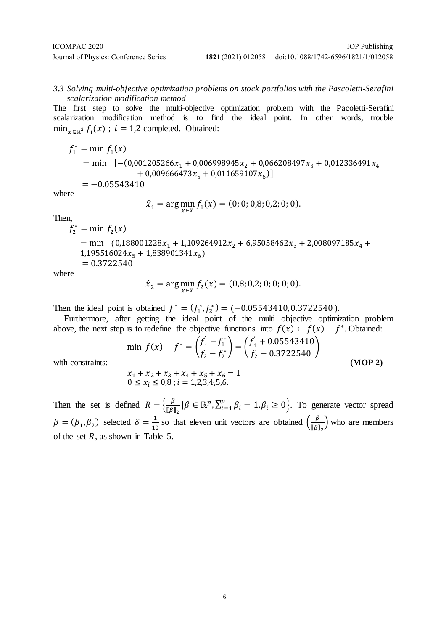doi:10.1088/1742-6596/1821/1/012058

*3.3 Solving multi-objective optimization problems on stock portfolios with the Pascoletti-Serafini scalarization modification method*

The first step to solve the multi-objective optimization problem with the Pacoletti-Serafini scalarization modification method is to find the ideal point. In other words, trouble  $\min_{x \in \mathbb{R}^2} f_i(x)$ ;  $i = 1,2$  completed. Obtained:

$$
f_1^* = \min f_1(x)
$$
  
= min [-(0,001205266x<sub>1</sub> + 0,006998945x<sub>2</sub> + 0,066208497x<sub>3</sub> + 0,012336491x<sub>4</sub>  
+ 0,009666473x<sub>5</sub> + 0,011659107x<sub>6</sub>)]  
= -0.05543410

where

$$
\hat{x}_1 = \arg\min_{x \in X} f_1(x) = (0; 0; 0, 8; 0, 2; 0; 0).
$$

Then,

$$
f_2^* = \min f_2(x)
$$
  
= min (0,188001228 $x_1$  + 1,109264912 $x_2$  + 6,95058462 $x_3$  + 2,008097185 $x_4$  +  
1,195516024 $x_5$  + 1,838901341 $x_6$ )  
= 0.3722540

where

$$
\hat{x}_2 = \arg\min_{x \in X} f_2(x) = (0.8; 0.2; 0; 0; 0; 0).
$$

Then the ideal point is obtained  $f^* = (f_1^*, f_2^*) = (-0.05543410, 0.3722540)$ .

Furthermore, after getting the ideal point of the multi objective optimization problem above, the next step is to redefine the objective functions into  $f(x) \leftarrow f(x) - f^*$ . Obtained:

$$
\min f(x) - f^* = \binom{f'_1 - f_1^*}{f_2 - f_2^*} = \binom{f'_1 + 0.05543410}{f_2 - 0.3722540}
$$
\n
$$
x_1 + x_2 + x_3 + x_4 + x_5 + x_6 = 1
$$
\n(MOP 2)

with constraints:

$$
x_1 + x_2 + x_3 + x_4 + x_5 + x_6 = 1
$$
  
0 \le x<sub>i</sub> \le 0,8 ; i = 1,2,3,4,5,6.

Then the set is defined  $R = \begin{cases} \frac{\beta}{\pi \rho_1} \end{cases}$  $\frac{\beta}{\llbracket \beta \rrbracket_2}$   $|\beta \in \mathbb{R}^p$ ,  $\sum_{i=1}^p \beta$  $\beta_{i=1}^{p} \beta_i = 1, \beta_i \geq 0$ . To generate vector spread  $\beta = (\beta_1, \beta_2)$  selected  $\delta = \frac{1}{10}$  $\frac{1}{10}$  so that eleven unit vectors are obtained  $\left(\frac{\beta}{\llbracket \beta \rrbracket}\right)$  $\frac{P}{\llbracket \beta \rrbracket_2}$  who are members of the set  $R$ , as shown in Table 5.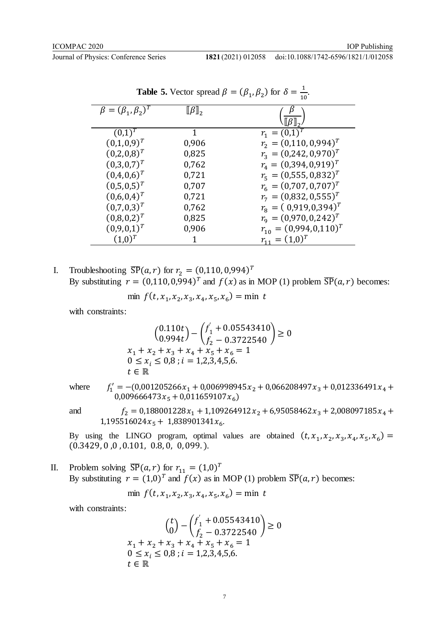IOP Publishing

|                                | л.                              | 7 1' L'<br>10                  |
|--------------------------------|---------------------------------|--------------------------------|
| $\beta = (\beta_1, \beta_2)^T$ | $\llbracket \beta \rrbracket_2$ |                                |
|                                |                                 |                                |
| $(0,1)^{T}$                    | 1                               | $r_1 = (0,1)^T$                |
| $(0,1,0,9)^T$                  | 0,906                           | $r_2 = (0,110,0,994)^T$        |
| $(0,2,0,8)^T$                  | 0,825                           | $r_3 = (0.242, 0.970)^T$       |
| $(0,3,0,7)^T$                  | 0,762                           | $r_4 = (0.394, 0.919)^T$       |
| $(0,4,0,6)^T$                  | 0,721                           | $r_{5}=(0,555,0,832)^{T}$      |
| $(0,5,0,5)^T$                  | 0,707                           | $r_6 = (0.707, 0.707)^T$       |
| $(0,6,0,4)^T$                  | 0,721                           | $r_7 = (0.832, 0.555)^T$       |
| $(0,7,0,3)^T$                  | 0,762                           | $r_{\rm s} = (0.919, 0.394)^T$ |
| $(0,8,0,2)^T$                  | 0,825                           | $r_{\rm g}=(0.970,0.242)^T$    |
| $(0,9,0,1)^T$                  | 0,906                           | $r_{10} = (0.994, 0.110)^{T}$  |
| $(1,0)^{T}$                    |                                 | $r_{11} = (1,0)^T$             |

**Table 5.** Vector spread  $\beta = (\beta_1, \beta_2)$  for  $\delta = \frac{1}{10}$  $\frac{1}{10}$ .

I. Troubleshooting  $\overline{SP}(a,r)$  for  $r_2 = (0,110,0,994)^T$ By substituting  $r = (0,110,0,994)^T$  and  $f(x)$  as in MOP (1) problem  $\overline{SP}(a,r)$  becomes:

$$
\min f(t, x_1, x_2, x_3, x_4, x_5, x_6) = \min t
$$

with constraints:

$$
\begin{aligned}\n & \left( \begin{matrix} 0.110t \\ 0.994t \end{matrix} \right) - \left( \begin{matrix} f_1' + 0.05543410 \\ f_2 - 0.3722540 \end{matrix} \right) \ge 0 \\
 & x_1 + x_2 + x_3 + x_4 + x_5 + x_6 = 1 \\
 & 0 \le x_i \le 0,8 \text{ ; } i = 1,2,3,4,5,6. \\
 & t \in \mathbb{R}\n \end{aligned}
$$

where  $f_1' = -(0.001205266x_1 + 0.006998945x_2 + 0.066208497x_3 + 0.012336491x_4 +$  $0,009666473x_5 + 0,011659107x_6$ 

and

 $f_2=0.188001228x_1+1.109264912x_2+6.95058462x_3+2.008097185x_4+1.195516024x_5+1.838901341x_6.\\$ 

By using the LINGO program, optimal values are obtained  $(t, x_1, x_2, x_3, x_4, x_5, x_6)$  =  $(0.3429, 0, 0, 0.101, 0.8, 0, 0,099. ).$ 

II. Problem solving  $\overline{SP}(a,r)$  for  $r_{11} = (1,0)^T$ By substituting  $r = (1,0)^T$  and  $f(x)$  as in MOP (1) problem  $\overline{SP}(a,r)$  becomes:

$$
\min f(t, x_1, x_2, x_3, x_4, x_5, x_6) = \min t
$$

with constraints:

$$
\binom{t}{0} - \binom{f_1' + 0.05543410}{f_2 - 0.3722540} \ge 0
$$
  
x<sub>1</sub> + x<sub>2</sub> + x<sub>3</sub> + x<sub>4</sub> + x<sub>5</sub> + x<sub>6</sub> = 1  
0 \le x<sub>i</sub> \le 0,8 ; i = 1,2,3,4,5,6.  
t \in \mathbb{R}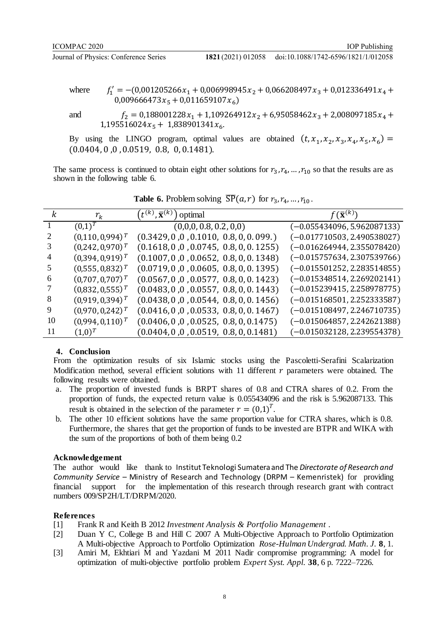doi:10.1088/1742-6596/1821/1/012058

where  $y' = -(0)$ 0,009666473 $x_5$  + 0,011659107 $x_6$ )

and  $f_2 = 0,188001228x_1 + 1,109264912x_2 + 6,95058462x_3 + 2,008097185x_4 + 1,195516024x_5 + 1,838901341x_6.$ 

By using the LINGO program, optimal values are obtained  $(t, x_1, x_2, x_3, x_4, x_5, x_6)$  =  $(0.0404, 0, 0, 0.0519, 0.8, 0, 0.1481).$ 

The same process is continued to obtain eight other solutions for  $r_3, r_4, ..., r_{10}$  so that the results are as shown in the following table 6.

|    | $r_{k}$            | $t^{(k)}, \overline{\mathbf{x}}^{(k)}$<br>) optimal | $f(\bar{\mathbf{x}}^{(k)})$   |
|----|--------------------|-----------------------------------------------------|-------------------------------|
|    | $(0,1)^{T}$        | (0,0,0,0.8,0.2,0,0)                                 | $(-0.055434096, 5.962087133)$ |
|    | $(0,110,0,994)^T$  | $(0.3429, 0, 0, 0.1010, 0.8, 0, 0.099.)$            | $(-0.017710503, 2.490538027)$ |
|    | $(0,242,0,970)^T$  | $(0.1618, 0, 0, 0.0745, 0.8, 0, 0.1255)$            | $(-0.016264944, 2.355078420)$ |
|    | $(0,394,0,919)^T$  | $(0.1007, 0, 0, 0.0652, 0.8, 0, 0.1348)$            | $(-0.015757634, 2.307539766)$ |
|    | $(0,555,0,832)^T$  | $(0.0719, 0, 0, 0.0605, 0.8, 0, 0.1395)$            | $(-0.015501252, 2.283514855)$ |
| 6  | $(0,707,0,707)^T$  | $(0.0567, 0, 0, 0.0577, 0.8, 0, 0.1423)$            | $(-0.015348514, 2.269202141)$ |
|    | $(0,832,0,555)^T$  | $(0.0483, 0, 0, 0.0557, 0.8, 0, 0.1443)$            | $(-0.015239415, 2.258978775)$ |
| 8  | $(0,919,0,394)^T$  | $(0.0438, 0, 0, 0.0544, 0.8, 0, 0.1456)$            | $(-0.015168501, 2.252333587)$ |
| 9  | $(0,970,0,242)^T$  | $(0.0416, 0, 0, 0.0533, 0.8, 0, 0.1467)$            | $(-0.015108497, 2.246710735)$ |
| 10 | $(0.994, 0.110)^T$ | $(0.0406, 0, 0, 0.0525, 0.8, 0, 0.1475)$            | $(-0.015064857, 2.242621388)$ |
| 11 | $(1,0)^T$          | $(0.0404, 0, 0, 0.0519, 0.8, 0, 0.1481)$            | $(-0.015032128, 2.239554378)$ |

**Table 6.** Problem solving  $\overline{SP}(a,r)$  for  $r_3, r_4, ..., r_{10}$ .

### **4. Conclusion**

From the optimization results of six Islamic stocks using the Pascoletti-Serafini Scalarization Modification method, several efficient solutions with 11 different  $r$  parameters were obtained. The following results were obtained.

- a. The proportion of invested funds is BRPT shares of 0.8 and CTRA shares of 0.2. From the proportion of funds, the expected return value is 0.055434096 and the risk is 5.962087133. This result is obtained in the selection of the parameter  $r = (0,1)^T$ .
- b. The other 10 efficient solutions have the same proportion value for CTRA shares, which is 0.8. Furthermore, the shares that get the proportion of funds to be invested are BTPR and WIKA with the sum of the proportions of both of them being 0.2

### **Acknowledgement**

The author would like thank to Institut Teknologi Sumatera and The *Directorate of Research and Community Service* – Ministry of Research and Technology (DRPM – Kemenristek) for providing financial support for the implementation of this research through research grant with contract numbers 009/SP2H/LT/DRPM/2020.

#### **References**

- [1] Frank R and Keith B 2012 *Investment Analysis & Portfolio Management* .
- [2] Duan Y C, College B and Hill C 2007 A Multi-Objective Approach to Portfolio Optimization A Multi-objective Approach to Portfolio Optimization *Rose-Hulman Undergrad. Math. J.* **8**, 1.
- [3] Amiri M, Ekhtiari M and Yazdani M 2011 Nadir compromise programming: A model for optimization of multi-objective portfolio problem *Expert Syst. Appl.* **38**, 6 p. 7222–7226.